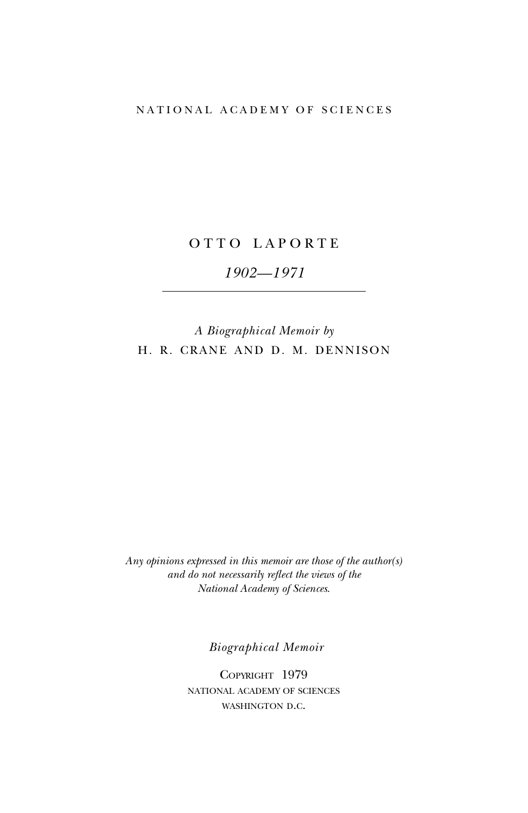## NATIONAL ACADEMY OF SCIENCES

## OTTO LAPORTE

# *1902—1971*

# *A Biographical Memoir by* H. R. CRANE AND D. M. DENNISON

*Any opinions expressed in this memoir are those of the author(s) and do not necessarily reflect the views of the National Academy of Sciences*.

*Biographical Memoir*

COPYRIGHT 1979 national academy of sciences WASHINGTON D.C.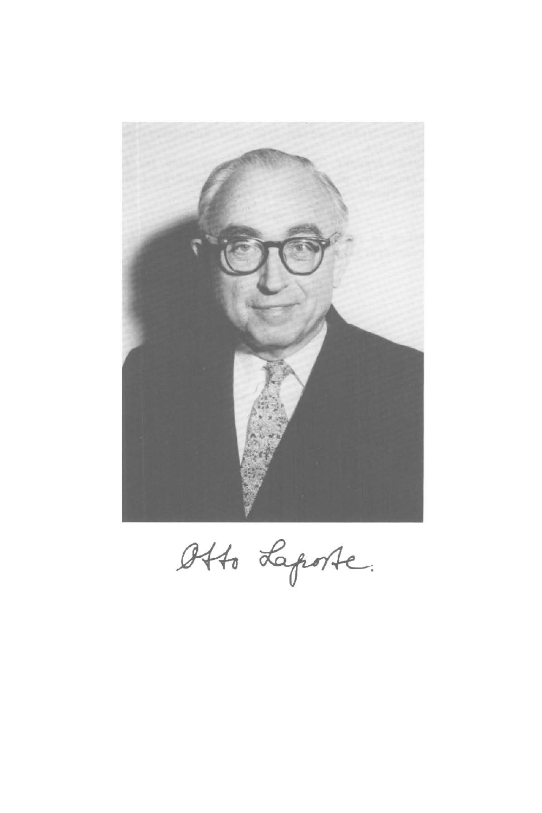

Otto Laporte.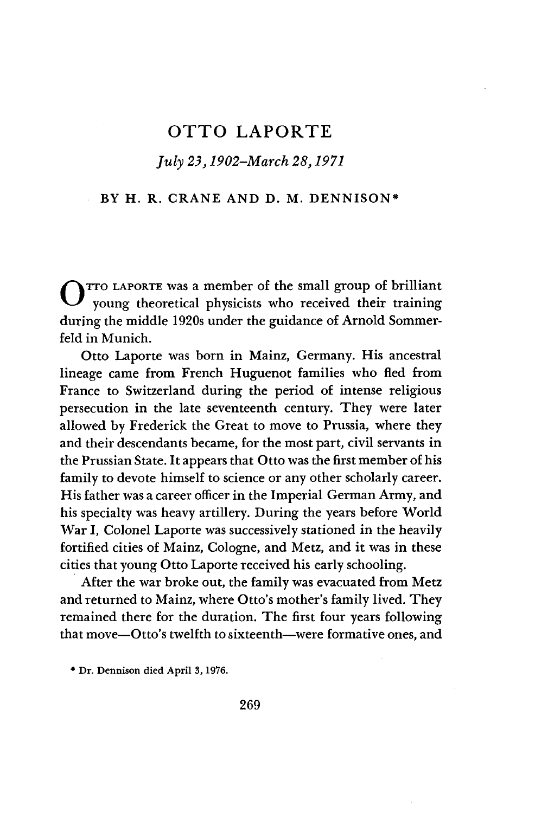## OTTO LAPORTE

## *July 23,1902-March 28,1971*

## BY H. R. CRANE AND D. M. DENNISON\*

O TTO LAPORTE was a member of the small group of brilliant young theoretical physicists who received their training during the middle 1920s under the guidance of Arnold Sommerfeld in Munich.

Otto Laporte was born in Mainz, Germany. His ancestral lineage came from French Huguenot families who fled from France to Switzerland during the period of intense religious persecution in the late seventeenth century. They were later allowed by Frederick the Great to move to Prussia, where they and their descendants became, for the most part, civil servants in the Prussian State. It appears that Otto was the first member of his family to devote himself to science or any other scholarly career. His father was a career officer in the Imperial German Army, and his specialty was heavy artillery. During the years before World War I, Colonel Laporte was successively stationed in the heavily fortified cities of Mainz, Cologne, and Metz, and it was in these cities that young Otto Laporte received his early schooling.

After the war broke out, the family was evacuated from Metz and returned to Mainz, where Otto's mother's family lived. They remained there for the duration. The first four years following that move—Otto's twelfth to sixteenth—were formative ones, and

<sup>\*</sup> Dr. Dennison died April 3,1976.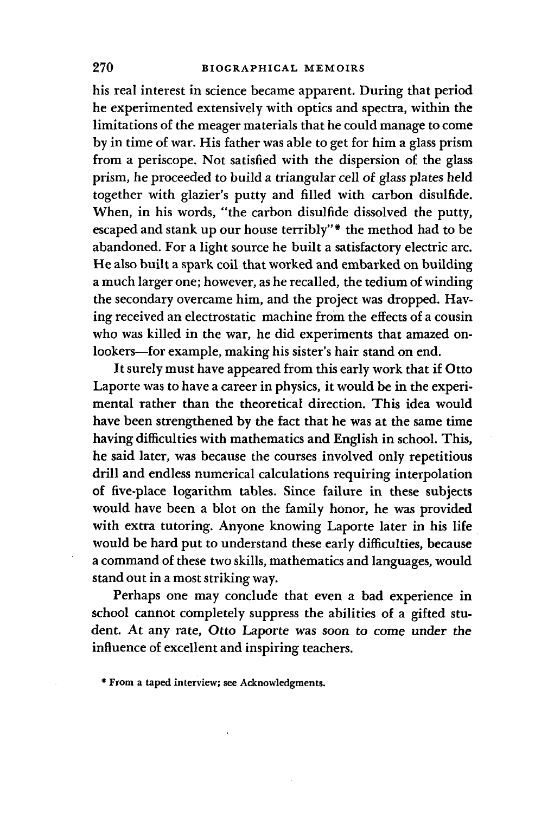his real interest in science became apparent. During that period he experimented extensively with optics and spectra, within the limitations of the meager materials that he could manage to come by in time of war. His father was able to get for him a glass prism from a periscope. Not satisfied with the dispersion of the glass prism, he proceeded to build a triangular cell of glass plates held together with glazier's putty and filled with carbon disulfide. When, in his words, "the carbon disulfide dissolved the putty, escaped and stank up our house terribly"\* the method had to be abandoned. For a light source he built a satisfactory electric arc. He also built a spark coil that worked and embarked on building a much larger one; however, as he recalled, the tedium of winding the secondary overcame him, and the project was dropped. Having received an electrostatic machine from the effects of a cousin who was killed in the war, he did experiments that amazed onlookers—for example, making his sister's hair stand on end.

It surely must have appeared from this early work that if Otto Laporte was to have a career in physics, it would be in the experimental rather than the theoretical direction. This idea would have been strengthened by the fact that he was at the same time having difficulties with mathematics and English in school. This, he said later, was because the courses involved only repetitious drill and endless numerical calculations requiring interpolation of five-place logarithm tables. Since failure in these subjects would have been a blot on the family honor, he was provided with extra tutoring. Anyone knowing Laporte later in his life would be hard put to understand these early difficulties, because a command of these two skills, mathematics and languages, would stand out in a most striking way.

Perhaps one may conclude that even a bad experience in school cannot completely suppress the abilities of a gifted student. At any rate, Otto Laporte was soon to come under the influence of excellent and inspiring teachers.

\* From a taped interview; see Acknowledgments.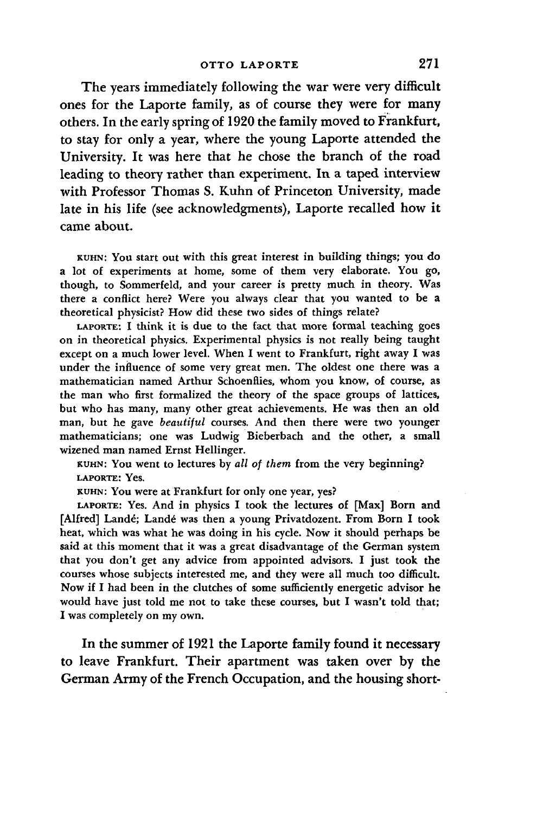The years immediately following the war were very difficult ones for the Laporte family, as of course they were for many others. In the early spring of 1920 the family moved to Frankfurt, to stay for only a year, where the young Laporte attended the University. It was here that he chose the branch of the road leading to theory rather than experiment. In a taped interview with Professor Thomas S. Kuhn of Princeton University, made late in his life (see acknowledgments), Laporte recalled how it came about.

KUHN: YOU start out with this great interest in building things; you do a lot of experiments at home, some of them very elaborate. You go, though, to Sommerfeld, and your career is pretty much in theory. Was there a conflict here? Were you always clear that you wanted to be a theoretical physicist? How did these two sides of things relate?

LAPORTE: I think it is due to the fact that more formal teaching goes on in theoretical physics. Experimental physics is not really being taught except on a much lower level. When I went to Frankfurt, right away I was under the influence of some very great men. The oldest one there was a mathematician named Arthur Schoenflies, whom you know, of course, as the man who first formalized the theory of the space groups of lattices, but who has many, many other great achievements. He was then an old man, but he gave *beautiful* courses. And then there were two younger mathematicians; one was Ludwig Bieberbach and the other, a small wizened man named Ernst Hellinger.

KUHN: YOU went to lectures by *all of them* from the very beginning? LAPORTE: Yes.

KUHN: YOU were at Frankfurt for only one year, yes?

LAPORTE: Yes. And in physics I took the lectures of [Max] Born and [Alfred] Landé; Landé was then a young Privatdozent. From Born I took heat, which was what he was doing in his cycle. Now it should perhaps be said at this moment that it was a great disadvantage of the German system that you don't get any advice from appointed advisors. I just took the courses whose subjects interested me, and they were all much too difficult. Now if I had been in the clutches of some sufficiently energetic advisor he would have just told me not to take these courses, but I wasn't told that; I was completely on my own.

In the summer of 1921 the Laporte family found it necessary to leave Frankfurt. Their apartment was taken over by the German Army of the French Occupation, and the housing short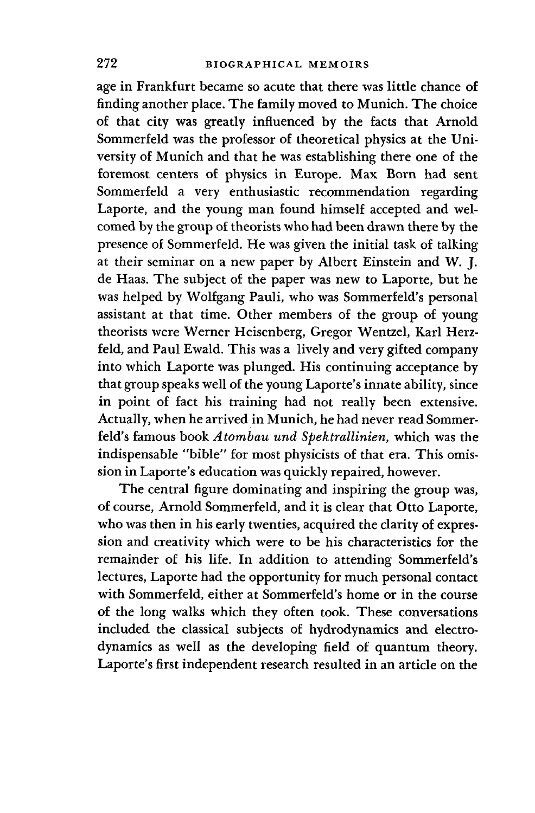age in Frankfurt became so acute that there was little chance of finding another place. The family moved to Munich. The choice of that city was greatly influenced by the facts that Arnold Sommerfeld was the professor of theoretical physics at the University of Munich and that he was establishing there one of the foremost centers of physics in Europe. Max Born had sent Sommerfeld a very enthusiastic recommendation regarding Laporte, and the young man found himself accepted and welcomed by the group of theorists who had been drawn there by the presence of Sommerfeld. He was given the initial task of talking at their seminar on a new paper by Albert Einstein and W. J. de Haas. The subject of the paper was new to Laporte, but he was helped by Wolfgang Pauli, who was Sommerfeld's personal assistant at that time. Other members of the group of young theorists were Werner Heisenberg, Gregor Wentzel, Karl Herzfeld, and Paul Ewald. This was a lively and very gifted company into which Laporte was plunged. His continuing acceptance by that group speaks well of the young Laporte's innate ability, since in point of fact his training had not really been extensive. Actually, when he arrived in Munich, he had never read Sommerfeld's famous book *Atombau und Spektrallinien,* which was the indispensable "bible" for most physicists of that era. This omission in Laporte's education was quickly repaired, however.

The central figure dominating and inspiring the group was, of course, Arnold Sommerfeld, and it is clear that Otto Laporte, who was then in his early twenties, acquired the clarity of expression and creativity which were to be his characteristics for the remainder of his life. In addition to attending Sommerfeld's lectures, Laporte had the opportunity for much personal contact with Sommerfeld, either at Sommerfeld's home or in the course of the long walks which they often took. These conversations included the classical subjects of hydrodynamics and electrodynamics as well as the developing field of quantum theory. Laporte's first independent research resulted in an article on the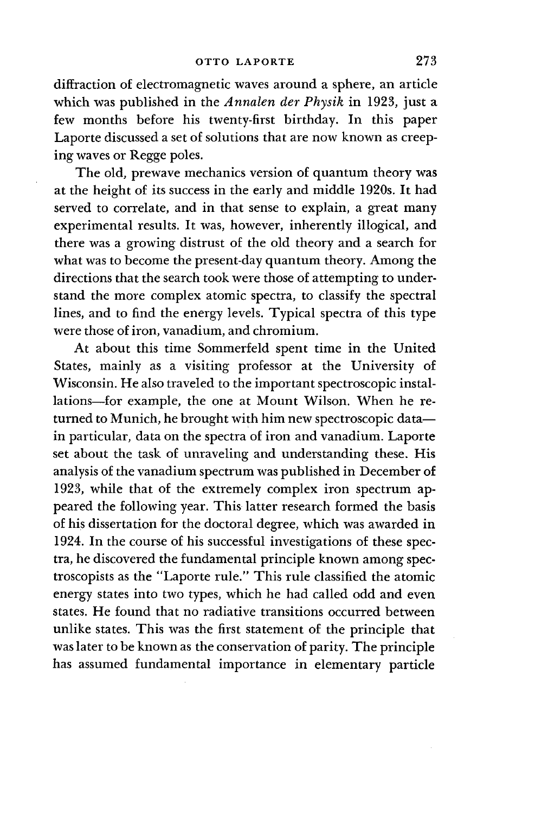diffraction of electromagnetic waves around a sphere, an article which was published in the *Annalen der Physik* in 1923, just a few months before his twenty-first birthday. In this paper Laporte discussed a set of solutions that are now known as creeping waves or Regge poles.

The old, prewave mechanics version of quantum theory was at the height of its success in the early and middle 1920s. It had served to correlate, and in that sense to explain, a great many experimental results. It was, however, inherently illogical, and there was a growing distrust of the old theory and a search for what was to become the present-day quantum theory. Among the directions that the search took were those of attempting to understand the more complex atomic spectra, to classify the spectral lines, and to find the energy levels. Typical spectra of this type were those of iron, vanadium, and chromium.

At about this time Sommerfeld spent time in the United States, mainly as a visiting professor at the University of Wisconsin. He also traveled to the important spectroscopic installations—for example, the one at Mount Wilson. When he returned to Munich, he brought with him new spectroscopic data in particular, data on the spectra of iron and vanadium. Laporte set about the task of unraveling and understanding these. His analysis of the vanadium spectrum was published in December of 1923, while that of the extremely complex iron spectrum appeared the following year. This latter research formed the basis of his dissertation for the doctoral degree, which was awarded in 1924. In the course of his successful investigations of these spectra, he discovered the fundamental principle known among spectroscopists as the "Laporte rule." This rule classified the atomic energy states into two types, which he had called odd and even states. He found that no radiative transitions occurred between unlike states. This was the first statement of the principle that was later to be known as the conservation of parity. The principle has assumed fundamental importance in elementary particle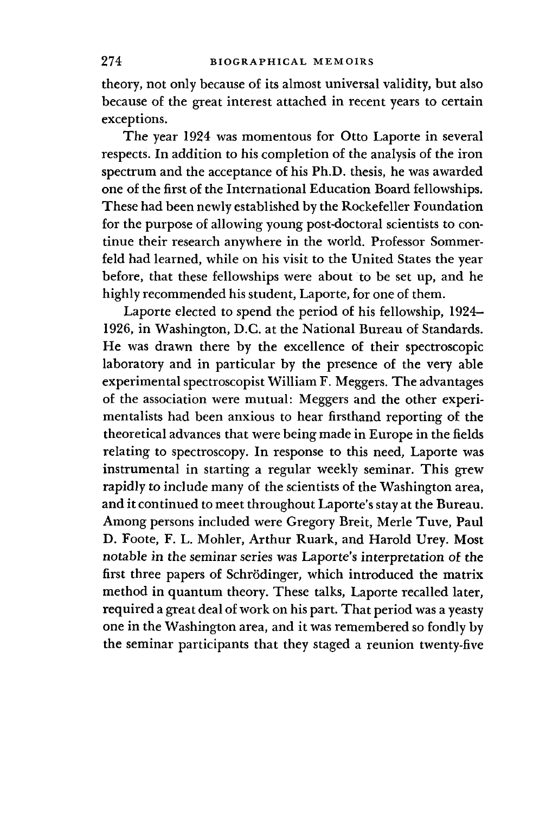theory, not only because of its almost universal validity, but also because of the great interest attached in recent years to certain exceptions.

The year 1924 was momentous for Otto Laporte in several respects. In addition to his completion of the analysis of the iron spectrum and the acceptance of his Ph.D. thesis, he was awarded one of the first of the International Education Board fellowships. These had been newly established by the Rockefeller Foundation for the purpose of allowing young post-doctoral scientists to continue their research anywhere in the world. Professor Sommerfeld had learned, while on his visit to the United States the year before, that these fellowships were about to be set up, and he highly recommended his student, Laporte, for one of them.

Laporte elected to spend the period of his fellowship, 1924- 1926, in Washington, D.C. at the National Bureau of Standards. He was drawn there by the excellence of their spectroscopic laboratory and in particular by the presence of the very able experimental spectroscopist William F. Meggers. The advantages of the association were mutual: Meggers and the other experimentalists had been anxious to hear firsthand reporting of the theoretical advances that were being made in Europe in the fields relating to spectroscopy. In response to this need, Laporte was instrumental in starting a regular weekly seminar. This grew rapidly to include many of the scientists of the Washington area, and it continued to meet throughout Laporte's stay at the Bureau. Among persons included were Gregory Breit, Merle Tuve, Paul D. Foote, F. L. Mohler, Arthur Ruark, and Harold Urey. Most notable in the seminar series was Laporte's interpretation of the first three papers of Schrodinger, which introduced the matrix method in quantum theory. These talks, Laporte recalled later, required a great deal of work on his part. That period was a yeasty one in the Washington area, and it was remembered so fondly by the seminar participants that they staged a reunion twenty-five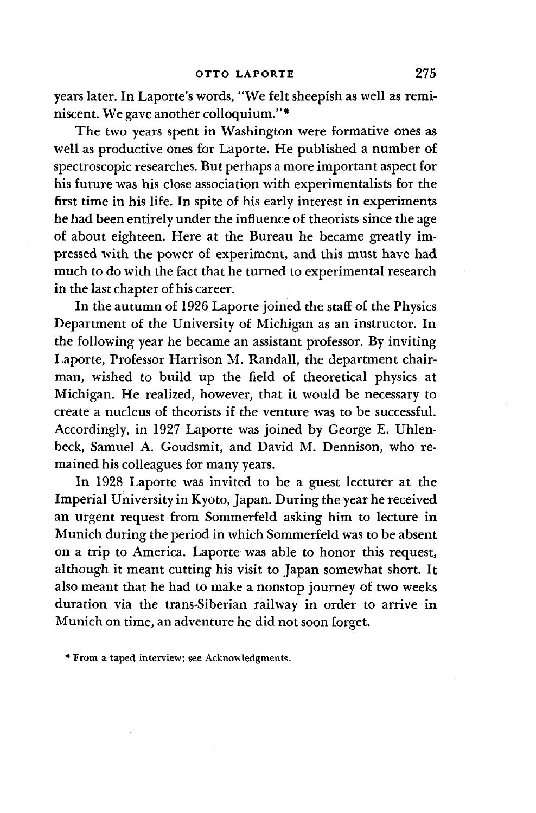years later. In Laporte's words, "We felt sheepish as well as reminiscent. We gave another colloquium."\*

The two years spent in Washington were formative ones as well as productive ones for Laporte. He published a number of spectroscopic researches. But perhaps a more important aspect for his future was his close association with experimentalists for the first time in his life. In spite of his early interest in experiments he had been entirely under the influence of theorists since the age of about eighteen. Here at the Bureau he became greatly impressed with the power of experiment, and this must have had much to do with the fact that he turned to experimental research in the last chapter of his career.

In the autumn of 1926 Laporte joined the staff of the Physics Department of the University of Michigan as an instructor. In the following year he became an assistant professor. By inviting Laporte, Professor Harrison M. Randall, the department chairman, wished to build up the field of theoretical physics at Michigan. He realized, however, that it would be necessary to create a nucleus of theorists if the venture was to be successful. Accordingly, in 1927 Laporte was joined by George E. Uhlenbeck, Samuel A. Goudsmit, and David M. Dennison, who remained his colleagues for many years.

In 1928 Laporte was invited to be a guest lecturer at the Imperial University in Kyoto, Japan. During the year he received an urgent request from Sommerfeld asking him to lecture in Munich during the period in which Sommerfeld was to be absent on a trip to America. Laporte was able to honor this request, although it meant cutting his visit to Japan somewhat short. It also meant that he had to make a nonstop journey of two weeks duration via the trans-Siberian railway in order to arrive in Munich on time, an adventure he did not soon forget.

\* From a taped interview; see Acknowledgments.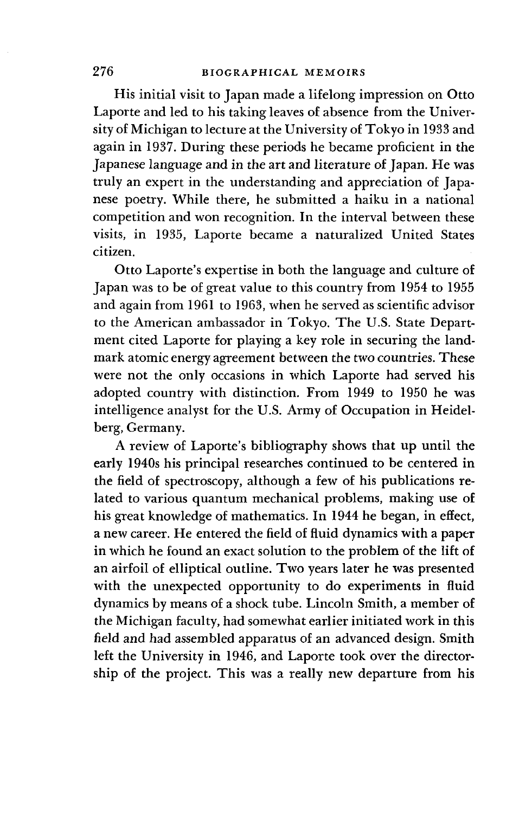His initial visit to Japan made a lifelong impression on Otto Laporte and led to his taking leaves of absence from the University of Michigan to lecture at the University of Tokyo in 1933 and again in 1937. During these periods he became proficient in the Japanese language and in the art and literature of Japan. He was truly an expert in the understanding and appreciation of Japanese poetry. While there, he submitted a haiku in a national competition and won recognition. In the interval between these visits, in 1935, Laporte became a naturalized United States citizen.

Otto Laporte's expertise in both the language and culture of Japan was to be of great value to this country from 1954 to 1955 and again from 1961 to 1963, when he served as scientific advisor to the American ambassador in Tokyo. The U.S. State Department cited Laporte for playing a key role in securing the landmark atomic energy agreement between the two countries. These were not the only occasions in which Laporte had served his adopted country with distinction. From 1949 to 1950 he was intelligence analyst for the U.S. Army of Occupation in Heidelberg, Germany.

A review of Laporte's bibliography shows that up until the early 1940s his principal researches continued to be centered in the field of spectroscopy, although a few of his publications related to various quantum mechanical problems, making use of his great knowledge of mathematics. In 1944 he began, in effect, a new career. He entered the field of fluid dynamics with a paper in which he found an exact solution to the problem of the lift of an airfoil of elliptical outline. Two years later he was presented with the unexpected opportunity to do experiments in fluid dynamics by means of a shock tube. Lincoln Smith, a member of the Michigan faculty, had somewhat earlier initiated work in this field and had assembled apparatus of an advanced design. Smith left the University in 1946, and Laporte took over the directorship of the project. This was a really new departure from his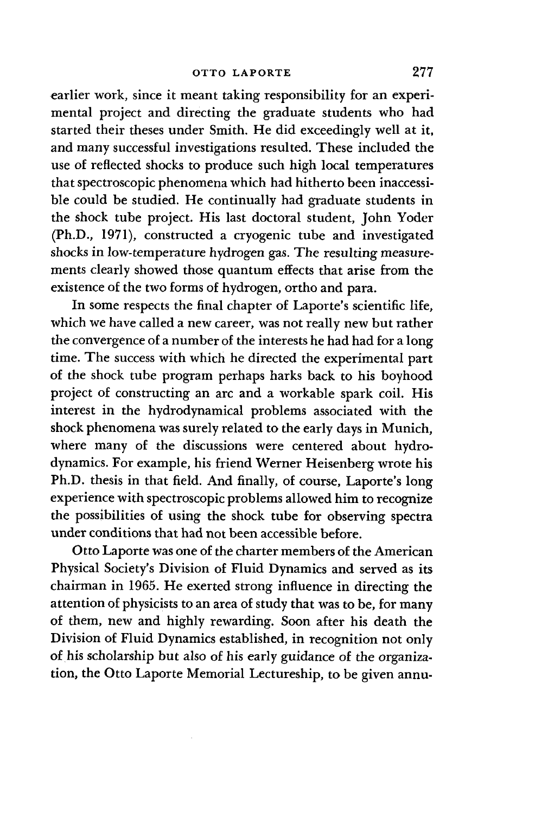earlier work, since it meant taking responsibility for an experimental project and directing the graduate students who had started their theses under Smith. He did exceedingly well at it, and many successful investigations resulted. These included the use of reflected shocks to produce such high local temperatures that spectroscopic phenomena which had hitherto been inaccessible could be studied. He continually had graduate students in the shock tube project. His last doctoral student, John Yoder (Ph.D., 1971), constructed a cryogenic tube and investigated shocks in low-temperature hydrogen gas. The resulting measurements clearly showed those quantum effects that arise from the existence of the two forms of hydrogen, ortho and para.

In some respects the final chapter of Laporte's scientific life, which we have called a new career, was not really new but rather the convergence of a number of the interests he had had for a long time. The success with which he directed the experimental part of the shock tube program perhaps harks back to his boyhood project of constructing an arc and a workable spark coil. His interest in the hydrodynamical problems associated with the shock phenomena was surely related to the early days in Munich, where many of the discussions were centered about hydrodynamics. For example, his friend Werner Heisenberg wrote his Ph.D. thesis in that field. And finally, of course, Laporte's long experience with spectroscopic problems allowed him to recognize the possibilities of using the shock tube for observing spectra under conditions that had not been accessible before.

Otto Laporte was one of the charter members of the American Physical Society's Division of Fluid Dynamics and served as its chairman in 1965. He exerted strong influence in directing the attention of physicists to an area of study that was to be, for many of them, new and highly rewarding. Soon after his death the Division of Fluid Dynamics established, in recognition not only of his scholarship but also of his early guidance of the organization, the Otto Laporte Memorial Lectureship, to be given annu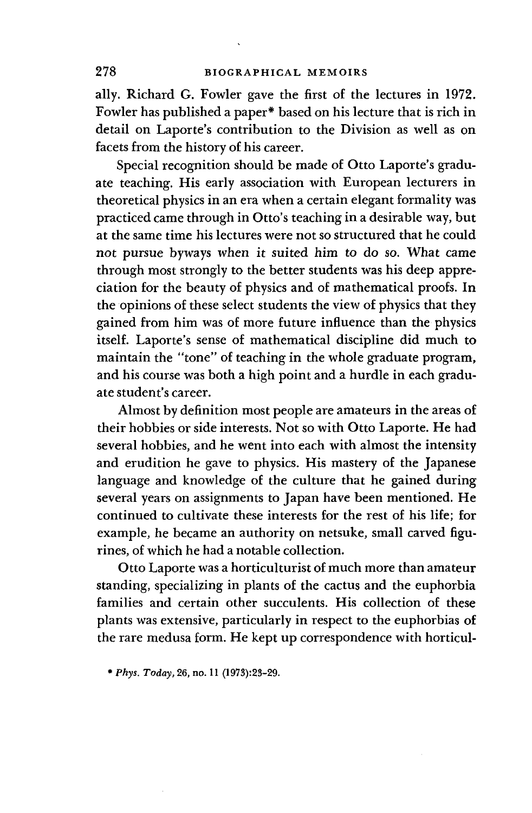ally. Richard G. Fowler gave the first of the lectures in 1972. Fowler has published a paper\* based on his lecture that is rich in detail on Laporte's contribution to the Division as well as on facets from the history of his career.

Special recognition should be made of Otto Laporte's graduate teaching. His early association with European lecturers in theoretical physics in an era when a certain elegant formality was practiced came through in Otto's teaching in a desirable way, but at the same time his lectures were not so structured that he could not pursue byways when it suited him to do so. What came through most strongly to the better students was his deep appreciation for the beauty of physics and of mathematical proofs. In the opinions of these select students the view of physics that they gained from him was of more future influence than the physics itself. Laporte's sense of mathematical discipline did much to maintain the "tone" of teaching in the whole graduate program, and his course was both a high point and a hurdle in each graduate student's career.

Almost by definition most people are amateurs in the areas of their hobbies or side interests. Not so with Otto Laporte. He had several hobbies, and he went into each with almost the intensity and erudition he gave to physics. His mastery of the Japanese language and knowledge of the culture that he gained during several years on assignments to Japan have been mentioned. He continued to cultivate these interests for the rest of his life; for example, he became an authority on netsuke, small carved figurines, of which he had a notable collection.

Otto Laporte was a horticulturist of much more than amateur standing, specializing in plants of the cactus and the euphorbia families and certain other succulents. His collection of these plants was extensive, particularly in respect to the euphorbias of the rare medusa form. He kept up correspondence with horticul-

\* *Phys. Today,* 26, no. 11 (1978):23-29.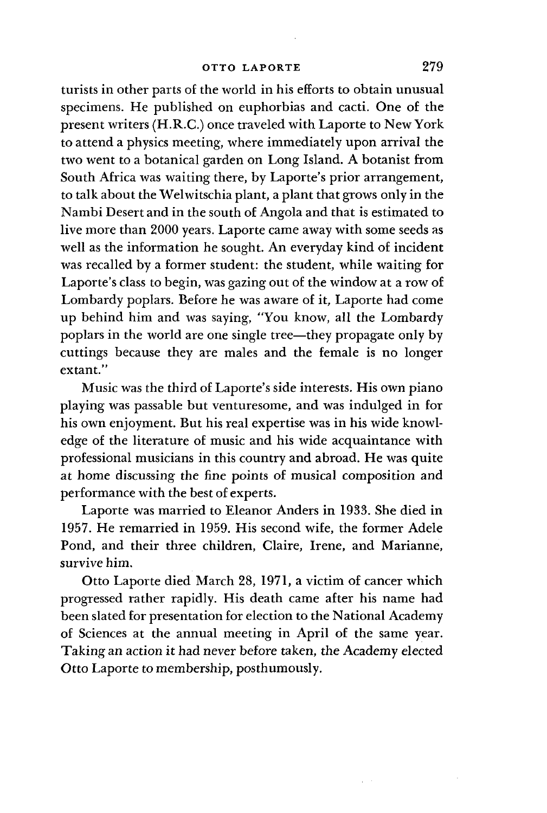turists in other parts of the world in his efforts to obtain unusual specimens. He published on euphorbias and cacti. One of the present writers (H.R.C.) once traveled with Laporte to New York to attend a physics meeting, where immediately upon arrival the two went to a botanical garden on Long Island. A botanist from South Africa was waiting there, by Laporte's prior arrangement, to talk about the Welwitschia plant, a plant that grows only in the Nambi Desert and in the south of Angola and that is estimated to live more than 2000 years. Laporte came away with some seeds as well as the information he sought. An everyday kind of incident was recalled by a former student: the student, while waiting for Laporte's class to begin, was gazing out of the window at a row of Lombardy poplars. Before he was aware of it, Laporte had come up behind him and was saying, "You know, all the Lombardy poplars in the world are one single tree—they propagate only by cuttings because they are males and the female is no longer extant."

Music was the third of Laporte's side interests. His own piano playing was passable but venturesome, and was indulged in for his own enjoyment. But his real expertise was in his wide knowledge of the literature of music and his wide acquaintance with professional musicians in this country and abroad. He was quite at home discussing the fine points of musical composition and performance with the best of experts.

Laporte was married to Eleanor Anders in 1933. She died in 1957. He remarried in 1959. His second wife, the former Adele Pond, and their three children, Claire, Irene, and Marianne, survive him.

Otto Laporte died March 28, 1971, a victim of cancer which progressed rather rapidly. His death came after his name had been slated for presentation for election to the National Academy of Sciences at the annual meeting in April of the same year. Taking an action it had never before taken, the Academy elected Otto Laporte to membership, posthumously.

 $\mathcal{C}^{(1)}$  .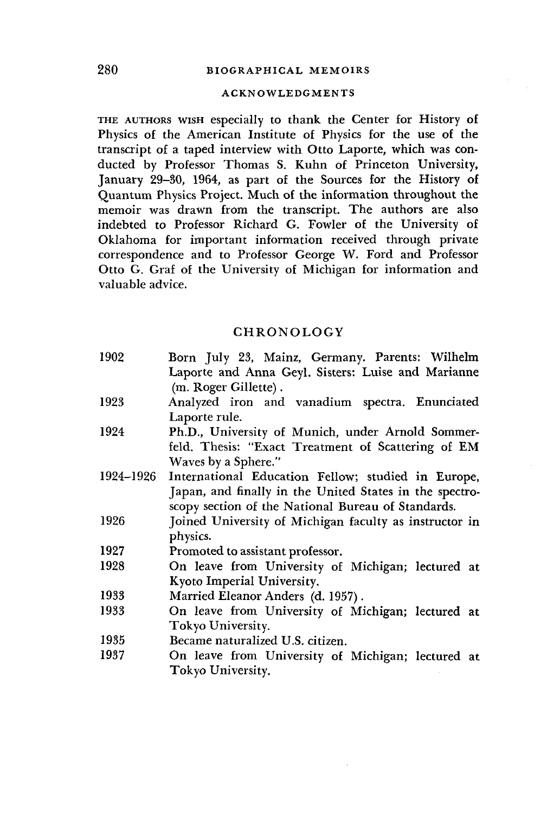## 280 BIOGRAPHICAL MEMOIRS

#### ACKNOWLEDGMENTS

THE AUTHORS WISH especially to thank the Center for History of Physics of the American Institute of Physics for the use of the transcript of a taped interview with Otto Laporte, which was conducted by Professor Thomas S. Kuhn of Princeton University, January 29-30, 1964, as part of the Sources for the History of Quantum Physics Project. Much of the information throughout the memoir was drawn from the transcript. The authors are also indebted to Professor Richard G. Fowler of the University of Oklahoma for important information received through private correspondence and to Professor George W. Ford and Professor Otto G. Graf of the University of Michigan for information and valuable advice.

## CHRONOLOGY

| Born July 23, Mainz, Germany. Parents: Wilhelm          |
|---------------------------------------------------------|
| Laporte and Anna Geyl. Sisters: Luise and Marianne      |
| (m. Roger Gillette).                                    |
| Analyzed iron and vanadium spectra. Enunciated          |
| Laporte rule.                                           |
| Ph.D., University of Munich, under Arnold Sommer-       |
| feld. Thesis: "Exact Treatment of Scattering of EM      |
| Waves by a Sphere."                                     |
| International Education Fellow; studied in Europe,      |
| Japan, and finally in the United States in the spectro- |
| scopy section of the National Bureau of Standards.      |
| Joined University of Michigan faculty as instructor in  |
| physics.                                                |
| Promoted to assistant professor.                        |
| On leave from University of Michigan; lectured at       |
| Kyoto Imperial University.                              |
| Married Eleanor Anders (d. 1957).                       |
| On leave from University of Michigan; lectured at       |
| Tokyo University.                                       |
| Became naturalized U.S. citizen.                        |
| On leave from University of Michigan; lectured at       |
| Tokyo University.                                       |
|                                                         |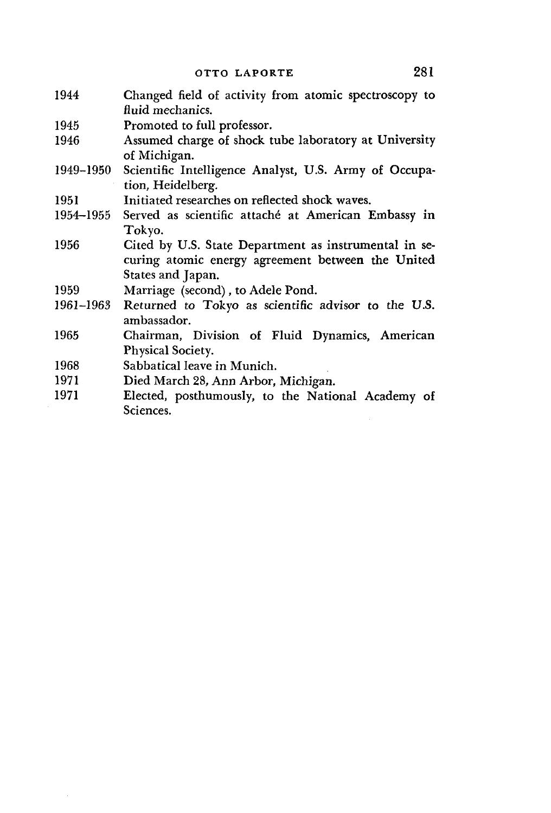- 1944 Changed field of activity from atomic spectroscopy to fluid mechanics.
- 1945 Promoted to full professor.
- 1946 Assumed charge of shock tube laboratory at University of Michigan.
- 1949-1950 Scientific Intelligence Analyst, U.S. Army of Occupation, Heidelberg.
- 1951 Initiated researches on reflected shock waves.
- 1954-1955 Served as scientific attache at American Embassy in Tokyo.
- 1956 Cited by U.S. State Department as instrumental in securing atomic energy agreement between the United States and Japan.
- 1959 Marriage (second), to Adele Pond.
- 1961-1963 Returned to Tokyo as scientific advisor to the U.S. ambassador.
- 1965 Chairman, Division of Fluid Dynamics, American Physical Society.
- 1968 Sabbatical leave in Munich.
- 1971 Died March 28, Ann Arbor, Michigan.
- 1971 Elected, posthumously, to the National Academy of Sciences.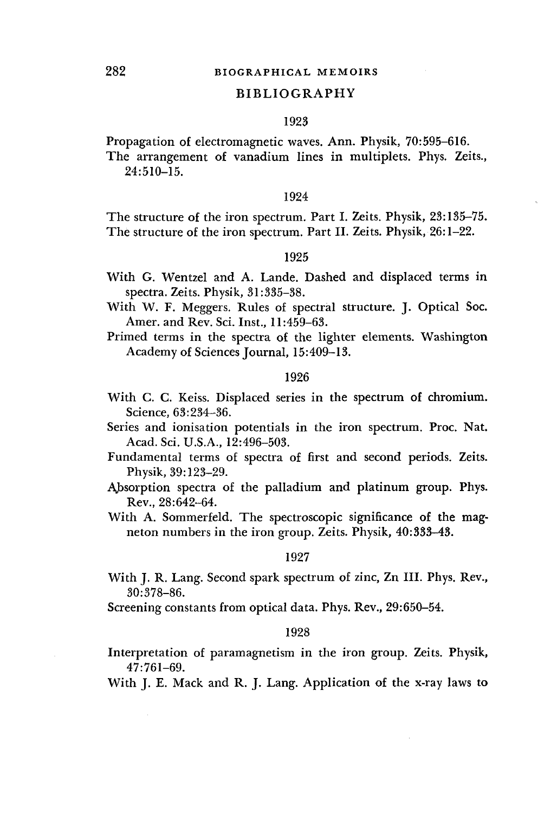#### BIBLIOGRAPHY

#### 1923

Propagation of electromagnetic waves. Ann. Physik, 70:595-616.

The arrangement of vanadium lines in multiplets. Phys. Zeits., 24:510-15.

#### 1924

The structure of the iron spectrum. Part I. Zeits. Physik, 23:135-75. The structure of the iron spectrum. Part II. Zeits. Physik, 26:1-22.

#### 1925

- With G. Wentzel and A. Lande. Dashed and displaced terms in spectra. Zeits. Physik, 31:335-38.
- With W. F. Meggers. Rules of spectral structure. J. Optical Soc. Amer. and Rev. Sci. Inst., 11:459-63.
- Primed terms in the spectra of the lighter elements. Washington Academy of Sciences Journal, 15:409-13.

#### 1926

- With C. C. Keiss. Displaced series in the spectrum of chromium. Science, 63:234-36.
- Series and ionisation potentials in the iron spectrum. Proc. Nat. Acad. Sci. U.S.A., 12:496-503.
- Fundamental terms of spectra of first and second periods. Zeits. Physik, 39:123-29.
- Absorption spectra of the palladium and platinum group. Phys. Rev., 28:642-64.
- With A. Sommerfeld. The spectroscopic significance of the magneton numbers in the iron group. Zeits. Physik, 40:333-43.

#### 1927

With J. R. Lang. Second spark spectrum of zinc, Zn III. Phys. Rev., 30:378-86.

Screening constants from optical data. Phys. Rev., 29:650-54.

#### 1928

Interpretation of paramagnetism in the iron group. Zeits. Physik, 47:761-69.

With J. E. Mack and R. J. Lang. Application of the x-ray laws to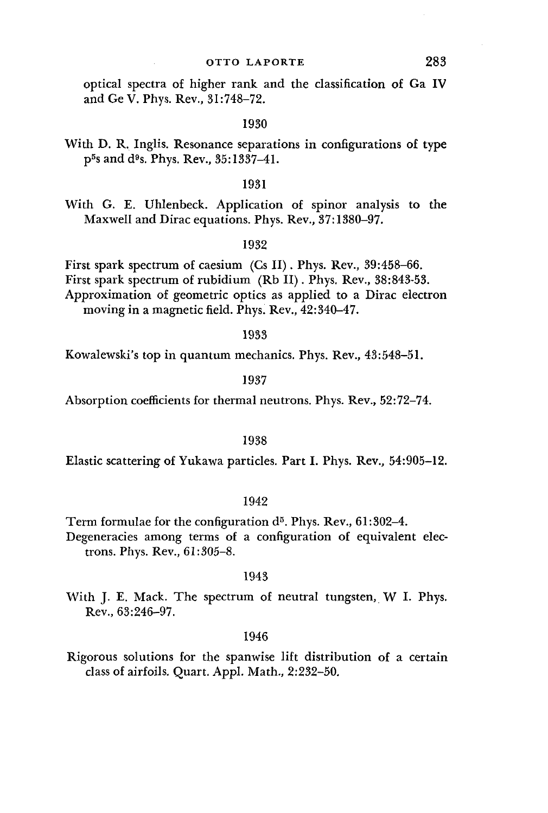### OTTO LAPORTE 283

optical spectra of higher rank and the classification of Ga IV and Ge V. Phys. Rev., 31:748-72.

#### 1930

With D. R. Inglis. Resonance separations in configurations of type p B s and d»s. Phys. Rev., 35:1337-41.

#### 1931

With G. E. Uhlenbeck. Application of spinor analysis to the Maxwell and Dirac equations. Phys. Rev., 37:1380-97.

#### 1932

First spark spectrum of caesium (Cs II). Phys. Rev., 39:458-66. First spark spectrum of rubidium (Rb II). Phys. Rev., 38:843-53. Approximation of geometric optics as applied to a Dirac electron moving in a magnetic field. Phys. Rev., 42:340-47.

#### 1933

Kowalewski's top in quantum mechanics. Phys. Rev., 43:548-51.

#### 1937

Absorption coefficients for thermal neutrons. Phys. Rev., 52:72-74.

#### 1938

Elastic scattering of Yukawa particles. Part I. Phys. Rev., 54:905-12.

#### 1942

Term formulae for the configuration d<sup>5</sup>. Phys. Rev., 61:302-4. Degeneracies among terms of a configuration of equivalent electrons. Phys. Rev., 61:305-8.

#### 1943

With J. E. Mack. The spectrum of neutral tungsten, W I. Phys. Rev., 63:246-97.

#### 1946

Rigorous solutions for the spanwise lift distribution of a certain class of airfoils. Quart. Appl. Math., 2:232-50.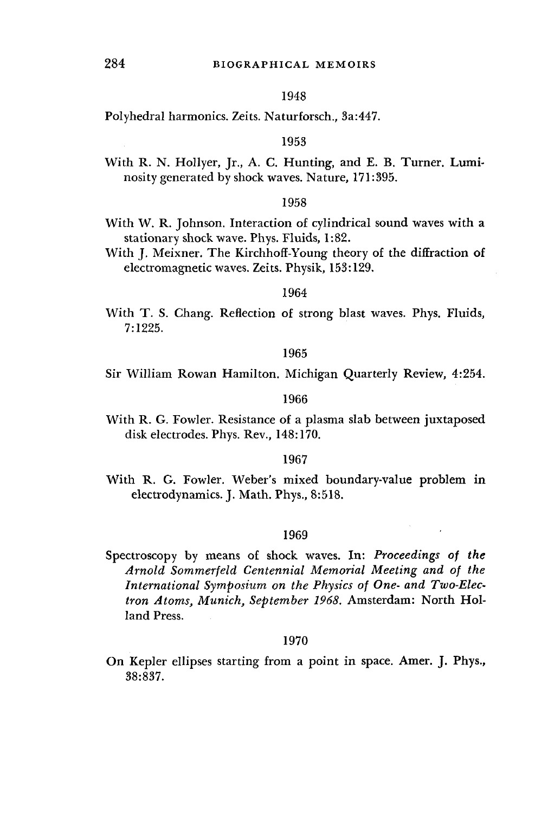### 1948

Polyhedral harmonics. Zeits. Naturforsch., 3a:447.

#### 1953

With R. N. Hollyer, Jr., A. C. Hunting, and E. B. Turner. Luminosity generated by shock waves. Nature, 171:395.

#### 1958

- With W. R. Johnson. Interaction of cylindrical sound waves with a stationary shock wave. Phys. Fluids, 1:82.
- With J. Meixner. The Kirchhoff-Young theory of the diffraction of electromagnetic waves. Zeits. Physik, 153:129.

#### 1964

With T. S. Chang. Reflection of strong blast waves. Phys. Fluids, 7:1225.

#### 1965

Sir William Rowan Hamilton. Michigan Quarterly Review, 4:254.

#### 1966

With R. G. Fowler. Resistance of a plasma slab between juxtaposed disk electrodes. Phys. Rev., 148:170.

#### 1967

With R. G. Fowler. Weber's mixed boundary-value problem in electrodynamics. J. Math. Phys., 8:518.

#### 1969

Spectroscopy by means of shock waves. In: *Proceedings of the Arnold Sommerfeld Centennial Memorial Meeting and of the International Symposium on the Physics of One- and Two-Electron Atoms, Munich, September 1968.* Amsterdam: North Holland Press.

#### 1970

On Kepler ellipses starting from a point in space. Amer. J. Phys., 38:837.